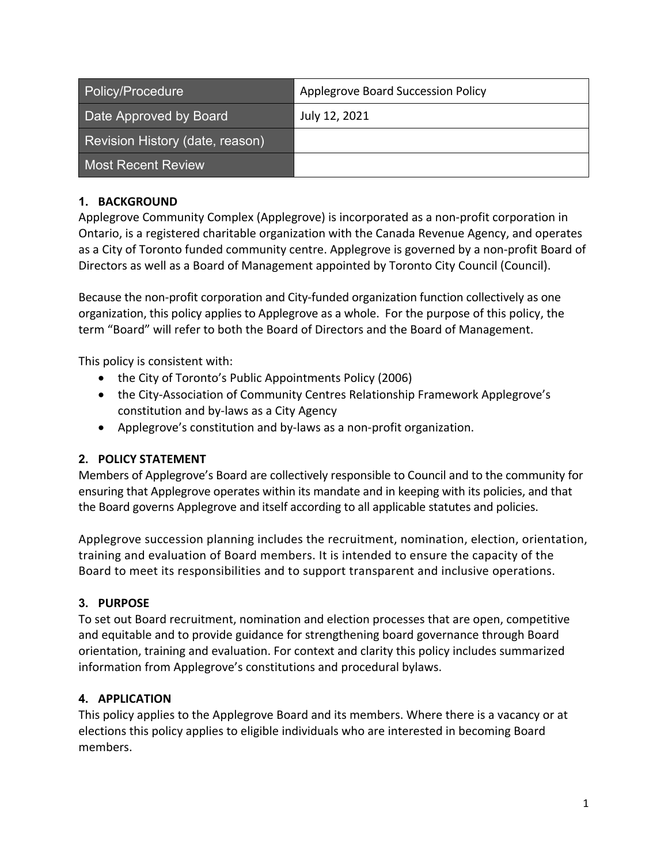| Policy/Procedure                | Applegrove Board Succession Policy |
|---------------------------------|------------------------------------|
| Date Approved by Board          | July 12, 2021                      |
| Revision History (date, reason) |                                    |
| <b>Most Recent Review</b>       |                                    |

## **1. BACKGROUND**

Applegrove Community Complex (Applegrove) is incorporated as a non-profit corporation in Ontario, is a registered charitable organization with the Canada Revenue Agency, and operates as a City of Toronto funded community centre. Applegrove is governed by a non-profit Board of Directors as well as a Board of Management appointed by Toronto City Council (Council).

Because the non-profit corporation and City-funded organization function collectively as one organization, this policy applies to Applegrove as a whole. For the purpose of this policy, the term "Board" will refer to both the Board of Directors and the Board of Management.

This policy is consistent with:

- the City of Toronto's Public Appointments Policy (2006)
- the City-Association of Community Centres Relationship Framework Applegrove's constitution and by-laws as a City Agency
- Applegrove's constitution and by-laws as a non-profit organization.

# **2. POLICY STATEMENT**

Members of Applegrove's Board are collectively responsible to Council and to the community for ensuring that Applegrove operates within its mandate and in keeping with its policies, and that the Board governs Applegrove and itself according to all applicable statutes and policies.

Applegrove succession planning includes the recruitment, nomination, election, orientation, training and evaluation of Board members. It is intended to ensure the capacity of the Board to meet its responsibilities and to support transparent and inclusive operations.

# **3. PURPOSE**

To set out Board recruitment, nomination and election processes that are open, competitive and equitable and to provide guidance for strengthening board governance through Board orientation, training and evaluation. For context and clarity this policy includes summarized information from Applegrove's constitutions and procedural bylaws.

# **4. APPLICATION**

This policy applies to the Applegrove Board and its members. Where there is a vacancy or at elections this policy applies to eligible individuals who are interested in becoming Board members.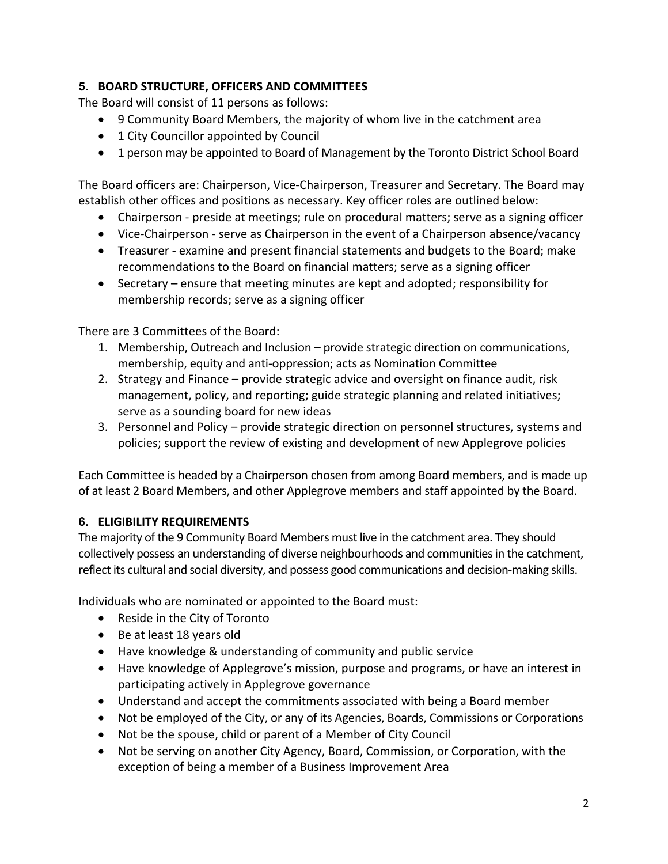## **5. BOARD STRUCTURE, OFFICERS AND COMMITTEES**

The Board will consist of 11 persons as follows:

- 9 Community Board Members, the majority of whom live in the catchment area
- 1 City Councillor appointed by Council
- 1 person may be appointed to Board of Management by the Toronto District School Board

The Board officers are: Chairperson, Vice-Chairperson, Treasurer and Secretary. The Board may establish other offices and positions as necessary. Key officer roles are outlined below:

- Chairperson preside at meetings; rule on procedural matters; serve as a signing officer
- Vice-Chairperson serve as Chairperson in the event of a Chairperson absence/vacancy
- Treasurer examine and present financial statements and budgets to the Board; make recommendations to the Board on financial matters; serve as a signing officer
- Secretary ensure that meeting minutes are kept and adopted; responsibility for membership records; serve as a signing officer

There are 3 Committees of the Board:

- 1. Membership, Outreach and Inclusion provide strategic direction on communications, membership, equity and anti-oppression; acts as Nomination Committee
- 2. Strategy and Finance provide strategic advice and oversight on finance audit, risk management, policy, and reporting; guide strategic planning and related initiatives; serve as a sounding board for new ideas
- 3. Personnel and Policy provide strategic direction on personnel structures, systems and policies; support the review of existing and development of new Applegrove policies

Each Committee is headed by a Chairperson chosen from among Board members, and is made up of at least 2 Board Members, and other Applegrove members and staff appointed by the Board.

# **6. ELIGIBILITY REQUIREMENTS**

The majority of the 9 Community Board Members must live in the catchment area. They should collectively possess an understanding of diverse neighbourhoods and communities in the catchment, reflect its cultural and social diversity, and possess good communications and decision-making skills.

Individuals who are nominated or appointed to the Board must:

- Reside in the City of Toronto
- Be at least 18 years old
- Have knowledge & understanding of community and public service
- Have knowledge of Applegrove's mission, purpose and programs, or have an interest in participating actively in Applegrove governance
- Understand and accept the commitments associated with being a Board member
- Not be employed of the City, or any of its Agencies, Boards, Commissions or Corporations
- Not be the spouse, child or parent of a Member of City Council
- Not be serving on another City Agency, Board, Commission, or Corporation, with the exception of being a member of a Business Improvement Area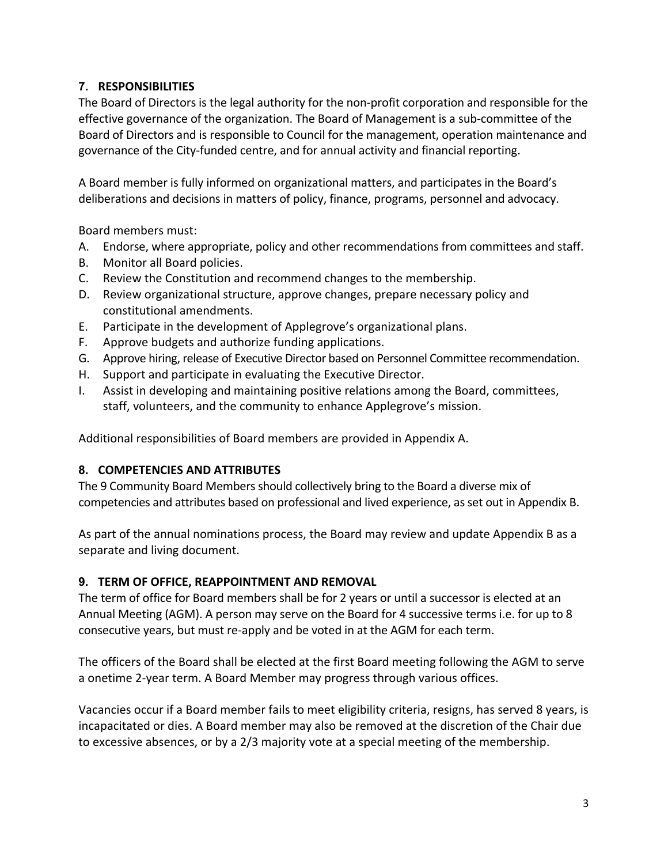## **7. RESPONSIBILITIES**

The Board of Directors is the legal authority for the non-profit corporation and responsible for the effective governance of the organization. The Board of Management is a sub-committee of the Board of Directors and is responsible to Council for the management, operation maintenance and governance of the City-funded centre, and for annual activity and financial reporting.

A Board member is fully informed on organizational matters, and participates in the Board's deliberations and decisions in matters of policy, finance, programs, personnel and advocacy.

Board members must:

- A. Endorse, where appropriate, policy and other recommendations from committees and staff.
- B. Monitor all Board policies.
- C. Review the Constitution and recommend changes to the membership.
- D. Review organizational structure, approve changes, prepare necessary policy and constitutional amendments.
- E. Participate in the development of Applegrove's organizational plans.
- F. Approve budgets and authorize funding applications.
- G. Approve hiring, release of Executive Director based on Personnel Committee recommendation.
- H. Support and participate in evaluating the Executive Director.
- I. Assist in developing and maintaining positive relations among the Board, committees, staff, volunteers, and the community to enhance Applegrove's mission.

Additional responsibilities of Board members are provided in Appendix A.

# **8. COMPETENCIES AND ATTRIBUTES**

The 9 Community Board Members should collectively bring to the Board a diverse mix of competencies and attributes based on professional and lived experience, as set out in Appendix B.

As part of the annual nominations process, the Board may review and update Appendix B as a separate and living document.

# **9. TERM OF OFFICE, REAPPOINTMENT AND REMOVAL**

The term of office for Board members shall be for 2 years or until a successor is elected at an Annual Meeting (AGM). A person may serve on the Board for 4 successive terms i.e. for up to 8 consecutive years, but must re-apply and be voted in at the AGM for each term.

The officers of the Board shall be elected at the first Board meeting following the AGM to serve a onetime 2-year term. A Board Member may progress through various offices.

Vacancies occur if a Board member fails to meet eligibility criteria, resigns, has served 8 years, is incapacitated or dies. A Board member may also be removed at the discretion of the Chair due to excessive absences, or by a 2/3 majority vote at a special meeting of the membership.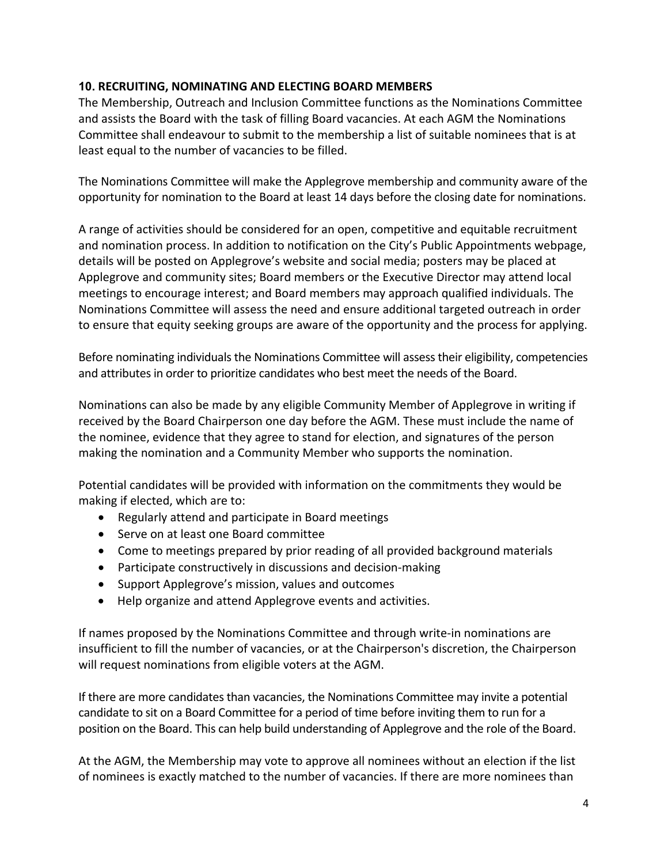## **10. RECRUITING, NOMINATING AND ELECTING BOARD MEMBERS**

The Membership, Outreach and Inclusion Committee functions as the Nominations Committee and assists the Board with the task of filling Board vacancies. At each AGM the Nominations Committee shall endeavour to submit to the membership a list of suitable nominees that is at least equal to the number of vacancies to be filled.

The Nominations Committee will make the Applegrove membership and community aware of the opportunity for nomination to the Board at least 14 days before the closing date for nominations.

A range of activities should be considered for an open, competitive and equitable recruitment and nomination process. In addition to notification on the City's Public Appointments webpage, details will be posted on Applegrove's website and social media; posters may be placed at Applegrove and community sites; Board members or the Executive Director may attend local meetings to encourage interest; and Board members may approach qualified individuals. The Nominations Committee will assess the need and ensure additional targeted outreach in order to ensure that equity seeking groups are aware of the opportunity and the process for applying.

Before nominating individuals the Nominations Committee will assess their eligibility, competencies and attributes in order to prioritize candidates who best meet the needs of the Board.

Nominations can also be made by any eligible Community Member of Applegrove in writing if received by the Board Chairperson one day before the AGM. These must include the name of the nominee, evidence that they agree to stand for election, and signatures of the person making the nomination and a Community Member who supports the nomination.

Potential candidates will be provided with information on the commitments they would be making if elected, which are to:

- Regularly attend and participate in Board meetings
- Serve on at least one Board committee
- Come to meetings prepared by prior reading of all provided background materials
- Participate constructively in discussions and decision-making
- Support Applegrove's mission, values and outcomes
- Help organize and attend Applegrove events and activities.

If names proposed by the Nominations Committee and through write-in nominations are insufficient to fill the number of vacancies, or at the Chairperson's discretion, the Chairperson will request nominations from eligible voters at the AGM.

If there are more candidates than vacancies, the Nominations Committee may invite a potential candidate to sit on a Board Committee for a period of time before inviting them to run for a position on the Board. This can help build understanding of Applegrove and the role of the Board.

At the AGM, the Membership may vote to approve all nominees without an election if the list of nominees is exactly matched to the number of vacancies. If there are more nominees than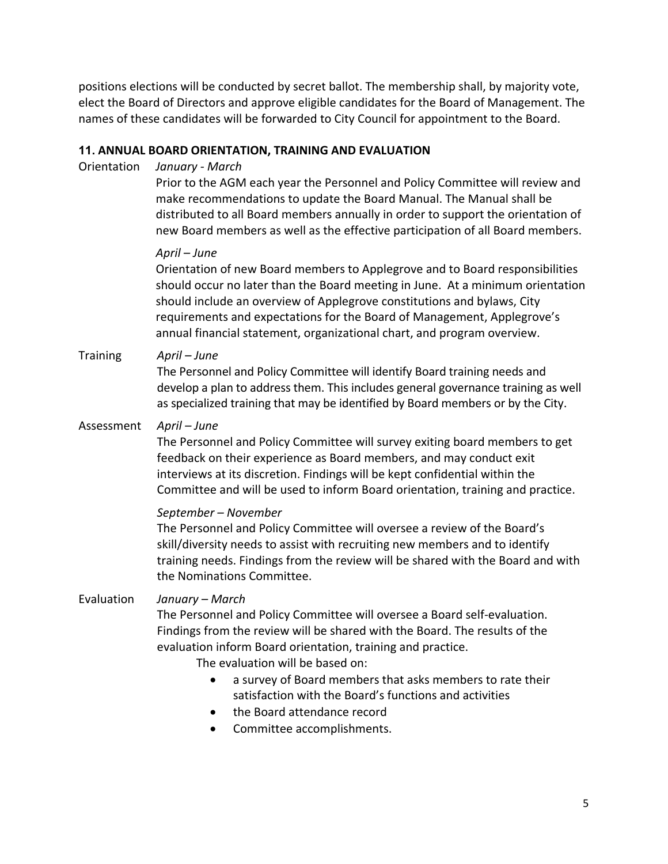positions elections will be conducted by secret ballot. The membership shall, by majority vote, elect the Board of Directors and approve eligible candidates for the Board of Management. The names of these candidates will be forwarded to City Council for appointment to the Board.

### **11. ANNUAL BOARD ORIENTATION, TRAINING AND EVALUATION**

Orientation *January - March*

Prior to the AGM each year the Personnel and Policy Committee will review and make recommendations to update the Board Manual. The Manual shall be distributed to all Board members annually in order to support the orientation of new Board members as well as the effective participation of all Board members.

#### *April – June*

Orientation of new Board members to Applegrove and to Board responsibilities should occur no later than the Board meeting in June. At a minimum orientation should include an overview of Applegrove constitutions and bylaws, City requirements and expectations for the Board of Management, Applegrove's annual financial statement, organizational chart, and program overview.

### Training *April – June*

The Personnel and Policy Committee will identify Board training needs and develop a plan to address them. This includes general governance training as well as specialized training that may be identified by Board members or by the City.

#### Assessment *April – June*

The Personnel and Policy Committee will survey exiting board members to get feedback on their experience as Board members, and may conduct exit interviews at its discretion. Findings will be kept confidential within the Committee and will be used to inform Board orientation, training and practice.

*September – November*

The Personnel and Policy Committee will oversee a review of the Board's skill/diversity needs to assist with recruiting new members and to identify training needs. Findings from the review will be shared with the Board and with the Nominations Committee.

### Evaluation *January – March*

The Personnel and Policy Committee will oversee a Board self-evaluation. Findings from the review will be shared with the Board. The results of the evaluation inform Board orientation, training and practice.

The evaluation will be based on:

- a survey of Board members that asks members to rate their satisfaction with the Board's functions and activities
- the Board attendance record
- Committee accomplishments.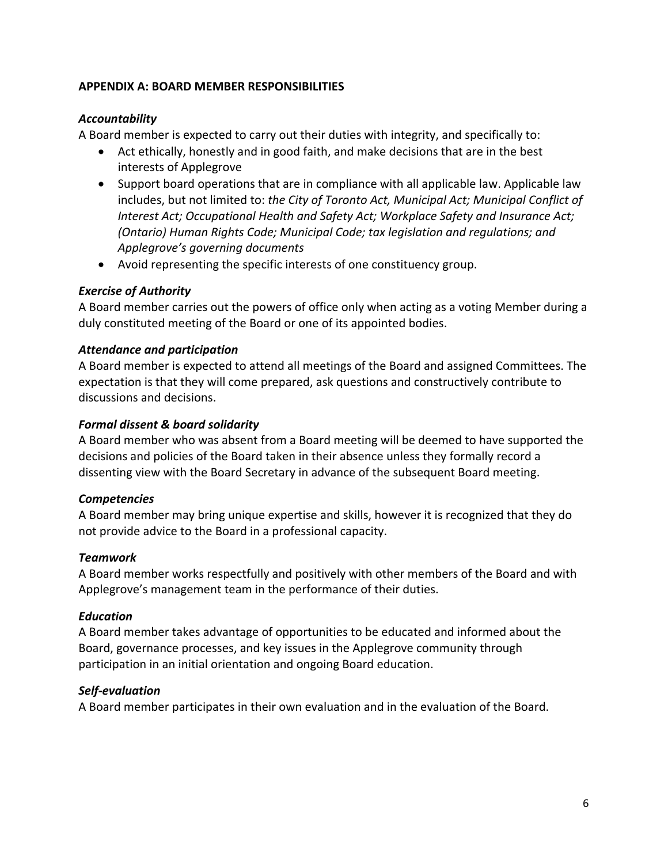### **APPENDIX A: BOARD MEMBER RESPONSIBILITIES**

## *Accountability*

A Board member is expected to carry out their duties with integrity, and specifically to:

- Act ethically, honestly and in good faith, and make decisions that are in the best interests of Applegrove
- Support board operations that are in compliance with all applicable law. Applicable law includes, but not limited to: *the City of Toronto Act, Municipal Act; Municipal Conflict of Interest Act; Occupational Health and Safety Act; Workplace Safety and Insurance Act; (Ontario) Human Rights Code; Municipal Code; tax legislation and regulations; and Applegrove's governing documents*
- Avoid representing the specific interests of one constituency group.

### *Exercise of Authority*

A Board member carries out the powers of office only when acting as a voting Member during a duly constituted meeting of the Board or one of its appointed bodies.

### *Attendance and participation*

A Board member is expected to attend all meetings of the Board and assigned Committees. The expectation is that they will come prepared, ask questions and constructively contribute to discussions and decisions.

### *Formal dissent & board solidarity*

A Board member who was absent from a Board meeting will be deemed to have supported the decisions and policies of the Board taken in their absence unless they formally record a dissenting view with the Board Secretary in advance of the subsequent Board meeting.

## *Competencies*

A Board member may bring unique expertise and skills, however it is recognized that they do not provide advice to the Board in a professional capacity.

### *Teamwork*

A Board member works respectfully and positively with other members of the Board and with Applegrove's management team in the performance of their duties.

### *Education*

A Board member takes advantage of opportunities to be educated and informed about the Board, governance processes, and key issues in the Applegrove community through participation in an initial orientation and ongoing Board education.

## *Self-evaluation*

A Board member participates in their own evaluation and in the evaluation of the Board.